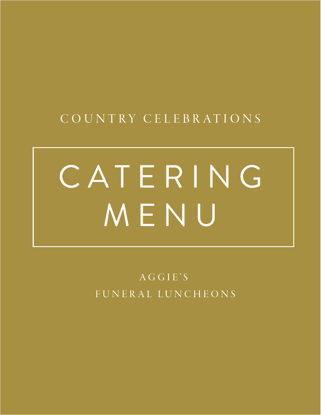## C O U N T RY C E L E B R AT I O N S

# C A T E R I N G MENU

AGGIE'S FUNERAL LUNCHEONS